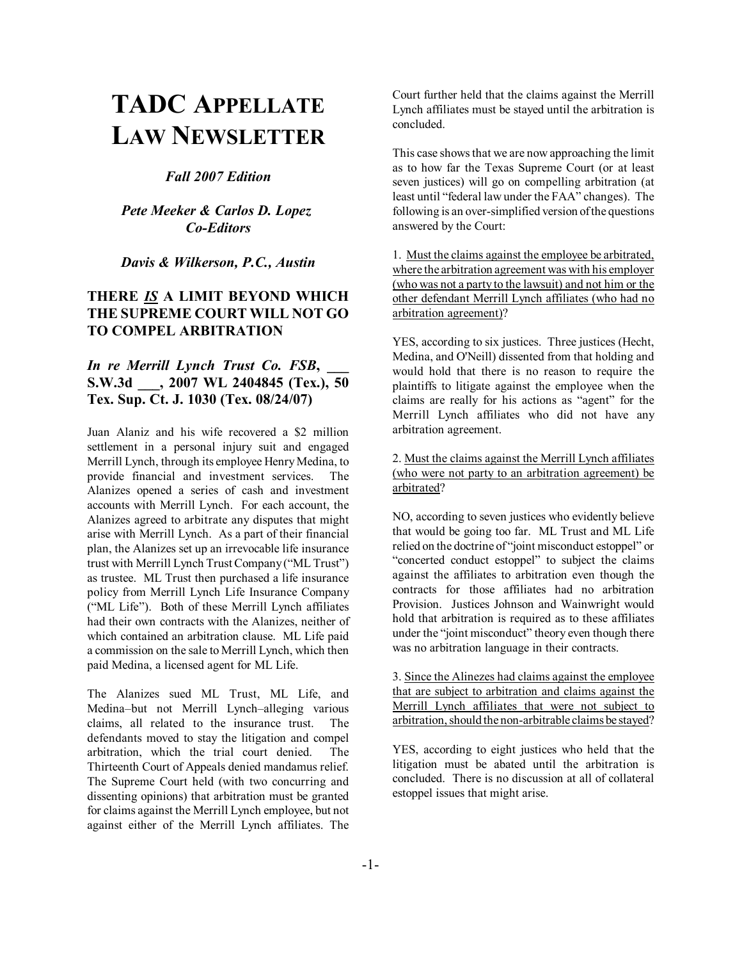# **TADC APPELLATE LAW NEWSLETTER**

*Fall 2007 Edition*

*Pete Meeker & Carlos D. Lopez Co-Editors*

*Davis & Wilkerson, P.C., Austin*

## **THERE** *IS* **A LIMIT BEYOND WHICH THE SUPREME COURT WILL NOT GO TO COMPEL ARBITRATION**

## *In re Merrill Lynch Trust Co. FSB,* **S.W.3d \_\_\_, 2007 WL 2404845 (Tex.), 50 Tex. Sup. Ct. J. 1030 (Tex. 08/24/07)**

Juan Alaniz and his wife recovered a \$2 million settlement in a personal injury suit and engaged Merrill Lynch, through its employee Henry Medina, to provide financial and investment services. The Alanizes opened a series of cash and investment accounts with Merrill Lynch. For each account, the Alanizes agreed to arbitrate any disputes that might arise with Merrill Lynch. As a part of their financial plan, the Alanizes set up an irrevocable life insurance trust with Merrill Lynch Trust Company ("ML Trust") as trustee. ML Trust then purchased a life insurance policy from Merrill Lynch Life Insurance Company ("ML Life"). Both of these Merrill Lynch affiliates had their own contracts with the Alanizes, neither of which contained an arbitration clause. ML Life paid a commission on the sale to Merrill Lynch, which then paid Medina, a licensed agent for ML Life.

The Alanizes sued ML Trust, ML Life, and Medina-but not Merrill Lynch-alleging various claims, all related to the insurance trust. The defendants moved to stay the litigation and compel arbitration, which the trial court denied. The Thirteenth Court of Appeals denied mandamus relief. The Supreme Court held (with two concurring and dissenting opinions) that arbitration must be granted for claims against the Merrill Lynch employee, but not against either of the Merrill Lynch affiliates. The Court further held that the claims against the Merrill Lynch affiliates must be stayed until the arbitration is concluded.

This case shows that we are now approaching the limit as to how far the Texas Supreme Court (or at least seven justices) will go on compelling arbitration (at least until "federal law under the FAA" changes). The following is an over-simplified version of the questions answered by the Court:

1. Must the claims against the employee be arbitrated, where the arbitration agreement was with his employer (who was not a party to the lawsuit) and not him or the other defendant Merrill Lynch affiliates (who had no arbitration agreement)?

YES, according to six justices. Three justices (Hecht, Medina, and O'Neill) dissented from that holding and would hold that there is no reason to require the plaintiffs to litigate against the employee when the claims are really for his actions as "agent" for the Merrill Lynch affiliates who did not have any arbitration agreement.

2. Must the claims against the Merrill Lynch affiliates (who were not party to an arbitration agreement) be arbitrated?

NO, according to seven justices who evidently believe that would be going too far. ML Trust and ML Life relied on the doctrine of "joint misconduct estoppel" or "concerted conduct estoppel" to subject the claims against the affiliates to arbitration even though the contracts for those affiliates had no arbitration Provision. Justices Johnson and Wainwright would hold that arbitration is required as to these affiliates under the "joint misconduct" theory even though there was no arbitration language in their contracts.

3. Since the Alinezes had claims against the employee that are subject to arbitration and claims against the Merrill Lynch affiliates that were not subject to arbitration, should the non-arbitrable claims be stayed?

YES, according to eight justices who held that the litigation must be abated until the arbitration is concluded. There is no discussion at all of collateral estoppel issues that might arise.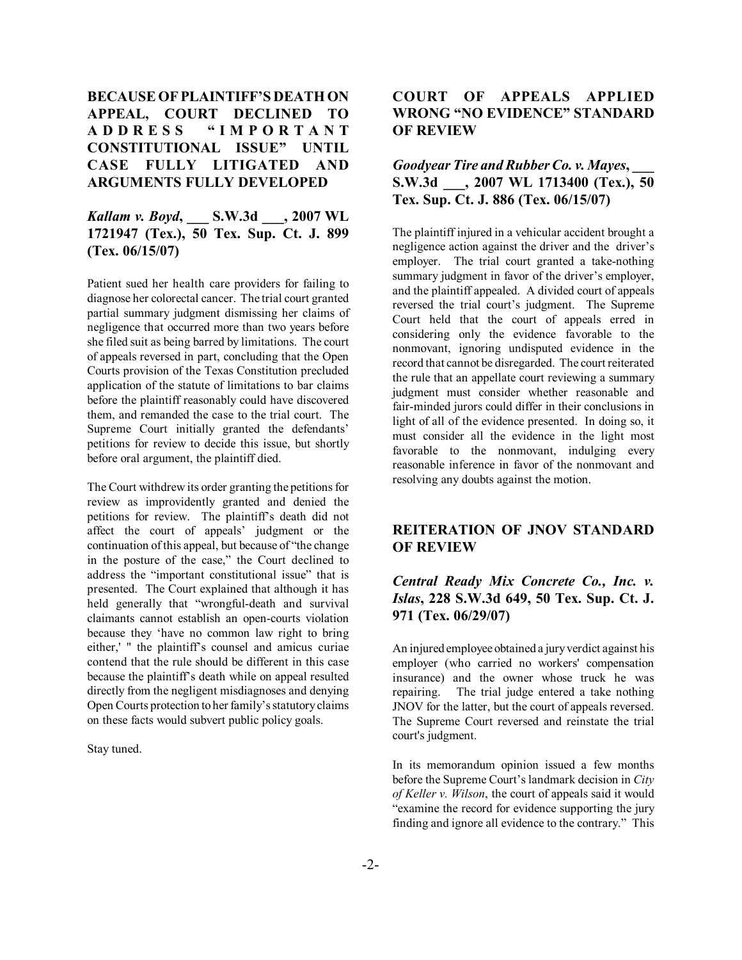# **BECAUSE OF PLAINTIFF'S DEATH ON APPEAL, COURT DECLINED TO ADDRESS ìIMPORTANT CONSTITUTIONAL ISSUEî UNTIL CASE FULLY LITIGATED AND ARGUMENTS FULLY DEVELOPED**

## *Kallam v. Boyd***, \_\_\_ S.W.3d \_\_\_, 2007 WL 1721947 (Tex.), 50 Tex. Sup. Ct. J. 899 (Tex. 06/15/07)**

Patient sued her health care providers for failing to diagnose her colorectal cancer. The trial court granted partial summary judgment dismissing her claims of negligence that occurred more than two years before she filed suit as being barred by limitations. The court of appeals reversed in part, concluding that the Open Courts provision of the Texas Constitution precluded application of the statute of limitations to bar claims before the plaintiff reasonably could have discovered them, and remanded the case to the trial court. The Supreme Court initially granted the defendants' petitions for review to decide this issue, but shortly before oral argument, the plaintiff died.

The Court withdrew its order granting the petitions for review as improvidently granted and denied the petitions for review. The plaintiff's death did not affect the court of appeals' judgment or the continuation of this appeal, but because of "the change" in the posture of the case," the Court declined to address the "important constitutional issue" that is presented. The Court explained that although it has held generally that "wrongful-death and survival claimants cannot establish an open-courts violation because they ëhave no common law right to bring either,' " the plaintiff's counsel and amicus curiae contend that the rule should be different in this case because the plaintiff's death while on appeal resulted directly from the negligent misdiagnoses and denying Open Courts protection to her family's statutory claims on these facts would subvert public policy goals.

Stay tuned.

# **COURT OF APPEALS APPLIED WRONG "NO EVIDENCE" STANDARD OF REVIEW**

# *Goodyear Tire and Rubber Co. v. Mayes,* **S.W.3d \_\_\_, 2007 WL 1713400 (Tex.), 50 Tex. Sup. Ct. J. 886 (Tex. 06/15/07)**

The plaintiff injured in a vehicular accident brought a negligence action against the driver and the driver's employer. The trial court granted a take-nothing summary judgment in favor of the driver's employer, and the plaintiff appealed. A divided court of appeals reversed the trial court's judgment. The Supreme Court held that the court of appeals erred in considering only the evidence favorable to the nonmovant, ignoring undisputed evidence in the record that cannot be disregarded. The court reiterated the rule that an appellate court reviewing a summary judgment must consider whether reasonable and fair-minded jurors could differ in their conclusions in light of all of the evidence presented. In doing so, it must consider all the evidence in the light most favorable to the nonmovant, indulging every reasonable inference in favor of the nonmovant and resolving any doubts against the motion.

## **REITERATION OF JNOV STANDARD OF REVIEW**

## *Central Ready Mix Concrete Co., Inc. v. Islas***, 228 S.W.3d 649, 50 Tex. Sup. Ct. J. 971 (Tex. 06/29/07)**

An injured employee obtained a jury verdict against his employer (who carried no workers' compensation insurance) and the owner whose truck he was repairing. The trial judge entered a take nothing JNOV for the latter, but the court of appeals reversed. The Supreme Court reversed and reinstate the trial court's judgment.

In its memorandum opinion issued a few months before the Supreme Court's landmark decision in *City of Keller v. Wilson*, the court of appeals said it would ìexamine the record for evidence supporting the jury finding and ignore all evidence to the contrary." This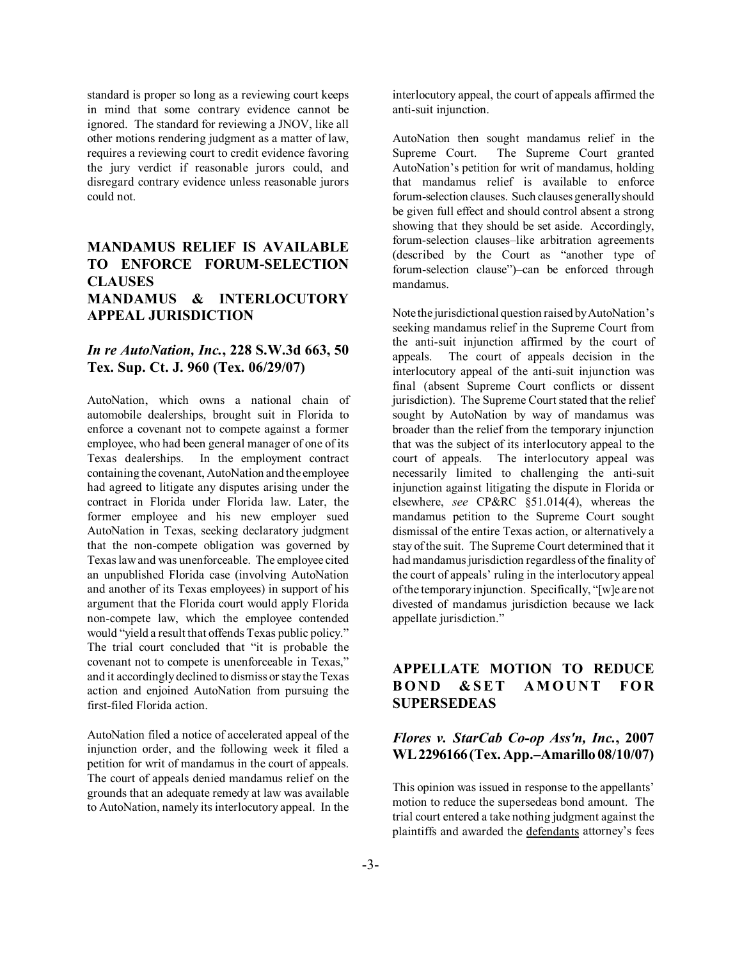standard is proper so long as a reviewing court keeps in mind that some contrary evidence cannot be ignored. The standard for reviewing a JNOV, like all other motions rendering judgment as a matter of law, requires a reviewing court to credit evidence favoring the jury verdict if reasonable jurors could, and disregard contrary evidence unless reasonable jurors could not.

# **MANDAMUS RELIEF IS AVAILABLE TO ENFORCE FORUM-SELECTION CLAUSES MANDAMUS & INTERLOCUTORY APPEAL JURISDICTION**

### *In re AutoNation, Inc.***, 228 S.W.3d 663, 50 Tex. Sup. Ct. J. 960 (Tex. 06/29/07)**

AutoNation, which owns a national chain of automobile dealerships, brought suit in Florida to enforce a covenant not to compete against a former employee, who had been general manager of one of its Texas dealerships. In the employment contract containing the covenant, AutoNation and the employee had agreed to litigate any disputes arising under the contract in Florida under Florida law. Later, the former employee and his new employer sued AutoNation in Texas, seeking declaratory judgment that the non-compete obligation was governed by Texas law and was unenforceable. The employee cited an unpublished Florida case (involving AutoNation and another of its Texas employees) in support of his argument that the Florida court would apply Florida non-compete law, which the employee contended would "yield a result that offends Texas public policy." The trial court concluded that "it is probable the covenant not to compete is unenforceable in Texas," and it accordingly declined to dismiss or stay the Texas action and enjoined AutoNation from pursuing the first-filed Florida action.

AutoNation filed a notice of accelerated appeal of the injunction order, and the following week it filed a petition for writ of mandamus in the court of appeals. The court of appeals denied mandamus relief on the grounds that an adequate remedy at law was available to AutoNation, namely its interlocutory appeal. In the interlocutory appeal, the court of appeals affirmed the anti-suit injunction.

AutoNation then sought mandamus relief in the Supreme Court. The Supreme Court granted AutoNation's petition for writ of mandamus, holding that mandamus relief is available to enforce forum-selection clauses. Such clauses generally should be given full effect and should control absent a strong showing that they should be set aside. Accordingly, forum-selection clauses-like arbitration agreements  $(described by the Court as "another type of)$ forum-selection clause")—can be enforced through mandamus.

Note the jurisdictional question raised by AutoNation's seeking mandamus relief in the Supreme Court from the anti-suit injunction affirmed by the court of appeals. The court of appeals decision in the interlocutory appeal of the anti-suit injunction was final (absent Supreme Court conflicts or dissent jurisdiction). The Supreme Court stated that the relief sought by AutoNation by way of mandamus was broader than the relief from the temporary injunction that was the subject of its interlocutory appeal to the court of appeals. The interlocutory appeal was necessarily limited to challenging the anti-suit injunction against litigating the dispute in Florida or elsewhere, *see* CP&RC ß51.014(4), whereas the mandamus petition to the Supreme Court sought dismissal of the entire Texas action, or alternatively a stay of the suit. The Supreme Court determined that it had mandamus jurisdiction regardless of the finality of the court of appeals' ruling in the interlocutory appeal of the temporary injunction. Specifically, "[w]e are not divested of mandamus jurisdiction because we lack appellate jurisdiction."

# **APPELLATE MOTION TO REDUCE BOND &SET AMOUNT FOR SUPERSEDEAS**

#### *Flores v. StarCab Co-op Ass'n, Inc.***, 2007 WL 2296166 (Tex. App.–Amarillo 08/10/07)**

This opinion was issued in response to the appellants' motion to reduce the supersedeas bond amount. The trial court entered a take nothing judgment against the plaintiffs and awarded the defendants attorney's fees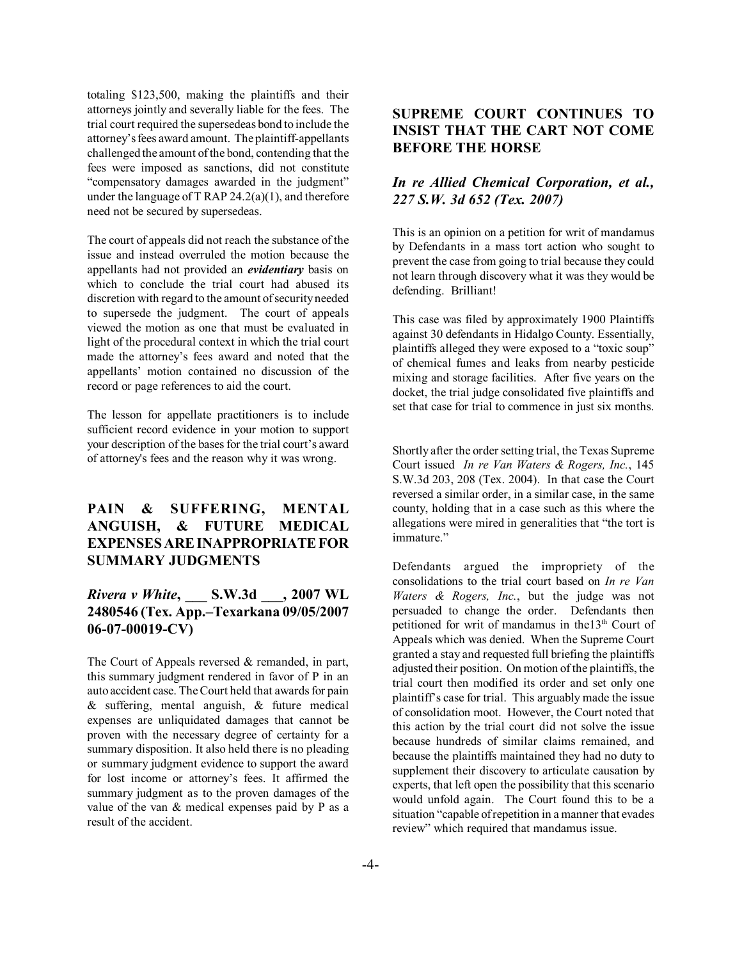totaling \$123,500, making the plaintiffs and their attorneys jointly and severally liable for the fees. The trial court required the supersedeas bond to include the attorney's fees award amount. The plaintiff-appellants challenged the amount of the bond, contending that the fees were imposed as sanctions, did not constitute "compensatory damages awarded in the judgment" under the language of T RAP  $24.2(a)(1)$ , and therefore need not be secured by supersedeas.

The court of appeals did not reach the substance of the issue and instead overruled the motion because the appellants had not provided an *evidentiary* basis on which to conclude the trial court had abused its discretion with regard to the amount of security needed to supersede the judgment. The court of appeals viewed the motion as one that must be evaluated in light of the procedural context in which the trial court made the attorney's fees award and noted that the appellants' motion contained no discussion of the record or page references to aid the court.

The lesson for appellate practitioners is to include sufficient record evidence in your motion to support your description of the bases for the trial court's award of attorney's fees and the reason why it was wrong.

## **PAIN & SUFFERING, MENTAL ANGUISH, & FUTURE MEDICAL EXPENSES ARE INAPPROPRIATE FOR SUMMARY JUDGMENTS**

## *Rivera v White***, \_\_\_ S.W.3d \_\_\_, 2007 WL** 2480546 (Tex. App.–Texarkana 09/05/2007 **06-07-00019-CV)**

The Court of Appeals reversed & remanded, in part, this summary judgment rendered in favor of P in an auto accident case. The Court held that awards for pain & suffering, mental anguish, & future medical expenses are unliquidated damages that cannot be proven with the necessary degree of certainty for a summary disposition. It also held there is no pleading or summary judgment evidence to support the award for lost income or attorney's fees. It affirmed the summary judgment as to the proven damages of the value of the van & medical expenses paid by P as a result of the accident.

# **SUPREME COURT CONTINUES TO INSIST THAT THE CART NOT COME BEFORE THE HORSE**

## *In re Allied Chemical Corporation, et al., 227 S.W. 3d 652 (Tex. 2007)*

This is an opinion on a petition for writ of mandamus by Defendants in a mass tort action who sought to prevent the case from going to trial because they could not learn through discovery what it was they would be defending. Brilliant!

This case was filed by approximately 1900 Plaintiffs against 30 defendants in Hidalgo County. Essentially, plaintiffs alleged they were exposed to a "toxic soup" of chemical fumes and leaks from nearby pesticide mixing and storage facilities. After five years on the docket, the trial judge consolidated five plaintiffs and set that case for trial to commence in just six months.

Shortly after the order setting trial, the Texas Supreme Court issued *In re Van Waters & Rogers, Inc.*, 145 S.W.3d 203, 208 (Tex. 2004). In that case the Court reversed a similar order, in a similar case, in the same county, holding that in a case such as this where the allegations were mired in generalities that "the tort is immature."

Defendants argued the impropriety of the consolidations to the trial court based on *In re Van Waters & Rogers, Inc.*, but the judge was not persuaded to change the order. Defendants then petitioned for writ of mandamus in the13<sup>th</sup> Court of Appeals which was denied. When the Supreme Court granted a stay and requested full briefing the plaintiffs adjusted their position. On motion of the plaintiffs, the trial court then modified its order and set only one plaintiff's case for trial. This arguably made the issue of consolidation moot. However, the Court noted that this action by the trial court did not solve the issue because hundreds of similar claims remained, and because the plaintiffs maintained they had no duty to supplement their discovery to articulate causation by experts, that left open the possibility that this scenario would unfold again. The Court found this to be a situation "capable of repetition in a manner that evades review" which required that mandamus issue.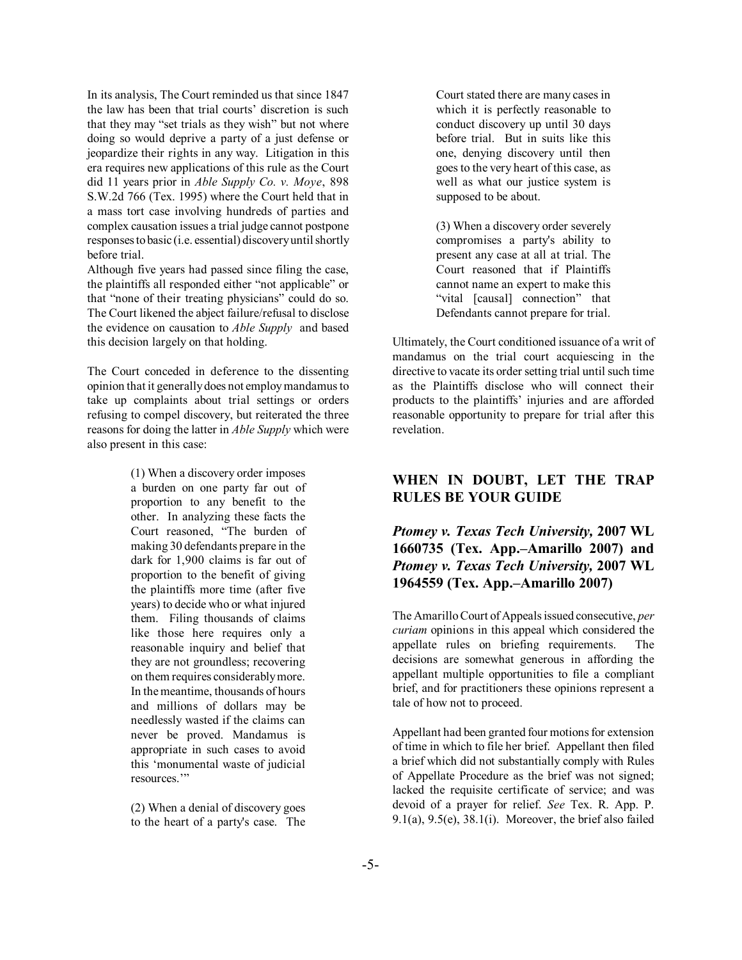In its analysis, The Court reminded us that since 1847 the law has been that trial courts' discretion is such that they may "set trials as they wish" but not where doing so would deprive a party of a just defense or jeopardize their rights in any way. Litigation in this era requires new applications of this rule as the Court did 11 years prior in *Able Supply Co. v. Moye*, 898 S.W.2d 766 (Tex. 1995) where the Court held that in a mass tort case involving hundreds of parties and complex causation issues a trial judge cannot postpone responses to basic (i.e. essential) discovery until shortly before trial.

Although five years had passed since filing the case, the plaintiffs all responded either "not applicable" or that "none of their treating physicians" could do so. The Court likened the abject failure/refusal to disclose the evidence on causation to *Able Supply* and based this decision largely on that holding.

The Court conceded in deference to the dissenting opinion that it generally does not employ mandamus to take up complaints about trial settings or orders refusing to compel discovery, but reiterated the three reasons for doing the latter in *Able Supply* which were also present in this case:

> (1) When a discovery order imposes a burden on one party far out of proportion to any benefit to the other. In analyzing these facts the Court reasoned, "The burden of making 30 defendants prepare in the dark for 1,900 claims is far out of proportion to the benefit of giving the plaintiffs more time (after five years) to decide who or what injured them. Filing thousands of claims like those here requires only a reasonable inquiry and belief that they are not groundless; recovering on them requires considerably more. In the meantime, thousands of hours and millions of dollars may be needlessly wasted if the claims can never be proved. Mandamus is appropriate in such cases to avoid this ëmonumental waste of judicial resources<sup>"</sup>

(2) When a denial of discovery goes to the heart of a party's case. The

Court stated there are many cases in which it is perfectly reasonable to conduct discovery up until 30 days before trial. But in suits like this one, denying discovery until then goes to the very heart of this case, as well as what our justice system is supposed to be about.

(3) When a discovery order severely compromises a party's ability to present any case at all at trial. The Court reasoned that if Plaintiffs cannot name an expert to make this "vital [causal] connection" that Defendants cannot prepare for trial.

Ultimately, the Court conditioned issuance of a writ of mandamus on the trial court acquiescing in the directive to vacate its order setting trial until such time as the Plaintiffs disclose who will connect their products to the plaintiffs' injuries and are afforded reasonable opportunity to prepare for trial after this revelation.

# **WHEN IN DOUBT, LET THE TRAP RULES BE YOUR GUIDE**

*Ptomey v. Texas Tech University,* **2007 WL 1660735 (Tex. App.–Amarillo 2007) and** *Ptomey v. Texas Tech University,* **2007 WL 1964559 (Tex. App.–Amarillo 2007)** 

The Amarillo Court of Appeals issued consecutive, *per curiam* opinions in this appeal which considered the appellate rules on briefing requirements. The decisions are somewhat generous in affording the appellant multiple opportunities to file a compliant brief, and for practitioners these opinions represent a tale of how not to proceed.

Appellant had been granted four motions for extension of time in which to file her brief. Appellant then filed a brief which did not substantially comply with Rules of Appellate Procedure as the brief was not signed; lacked the requisite certificate of service; and was devoid of a prayer for relief. *See* Tex. R. App. P. 9.1(a), 9.5(e), 38.1(i). Moreover, the brief also failed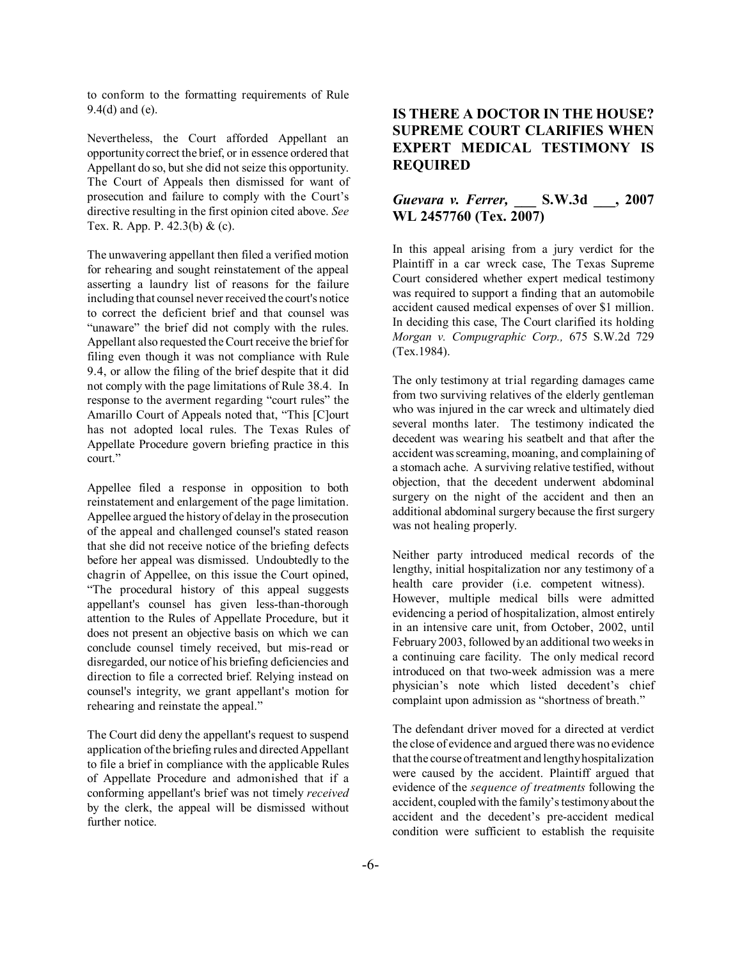to conform to the formatting requirements of Rule 9.4(d) and (e).

Nevertheless, the Court afforded Appellant an opportunity correct the brief, or in essence ordered that Appellant do so, but she did not seize this opportunity. The Court of Appeals then dismissed for want of prosecution and failure to comply with the Court's directive resulting in the first opinion cited above. *See* Tex. R. App. P. 42.3(b) & (c).

The unwavering appellant then filed a verified motion for rehearing and sought reinstatement of the appeal asserting a laundry list of reasons for the failure including that counsel never received the court's notice to correct the deficient brief and that counsel was "unaware" the brief did not comply with the rules. Appellant also requested the Court receive the brief for filing even though it was not compliance with Rule 9.4, or allow the filing of the brief despite that it did not comply with the page limitations of Rule 38.4. In response to the averment regarding "court rules" the Amarillo Court of Appeals noted that, "This [C]ourt has not adopted local rules. The Texas Rules of Appellate Procedure govern briefing practice in this court."

Appellee filed a response in opposition to both reinstatement and enlargement of the page limitation. Appellee argued the history of delay in the prosecution of the appeal and challenged counsel's stated reason that she did not receive notice of the briefing defects before her appeal was dismissed. Undoubtedly to the chagrin of Appellee, on this issue the Court opined, ìThe procedural history of this appeal suggests appellant's counsel has given less-than-thorough attention to the Rules of Appellate Procedure, but it does not present an objective basis on which we can conclude counsel timely received, but mis-read or disregarded, our notice of his briefing deficiencies and direction to file a corrected brief. Relying instead on counsel's integrity, we grant appellant's motion for rehearing and reinstate the appeal."

The Court did deny the appellant's request to suspend application of the briefing rules and directed Appellant to file a brief in compliance with the applicable Rules of Appellate Procedure and admonished that if a conforming appellant's brief was not timely *received* by the clerk, the appeal will be dismissed without further notice.

## **IS THERE A DOCTOR IN THE HOUSE? SUPREME COURT CLARIFIES WHEN EXPERT MEDICAL TESTIMONY IS REQUIRED**

## *Guevara v. Ferrer,* **\_\_\_ S.W.3d \_\_\_, 2007 WL 2457760 (Tex. 2007)**

In this appeal arising from a jury verdict for the Plaintiff in a car wreck case, The Texas Supreme Court considered whether expert medical testimony was required to support a finding that an automobile accident caused medical expenses of over \$1 million. In deciding this case, The Court clarified its holding *Morgan v. Compugraphic Corp.,* 675 S.W.2d 729 (Tex.1984).

The only testimony at trial regarding damages came from two surviving relatives of the elderly gentleman who was injured in the car wreck and ultimately died several months later. The testimony indicated the decedent was wearing his seatbelt and that after the accident was screaming, moaning, and complaining of a stomach ache. A surviving relative testified, without objection, that the decedent underwent abdominal surgery on the night of the accident and then an additional abdominal surgery because the first surgery was not healing properly.

Neither party introduced medical records of the lengthy, initial hospitalization nor any testimony of a health care provider (i.e. competent witness). However, multiple medical bills were admitted evidencing a period of hospitalization, almost entirely in an intensive care unit, from October, 2002, until February 2003, followed by an additional two weeks in a continuing care facility. The only medical record introduced on that two-week admission was a mere physician's note which listed decedent's chief complaint upon admission as "shortness of breath."

The defendant driver moved for a directed at verdict the close of evidence and argued there was no evidence that the course of treatment and lengthy hospitalization were caused by the accident. Plaintiff argued that evidence of the *sequence of treatments* following the accident, coupled with the family's testimony about the accident and the decedent's pre-accident medical condition were sufficient to establish the requisite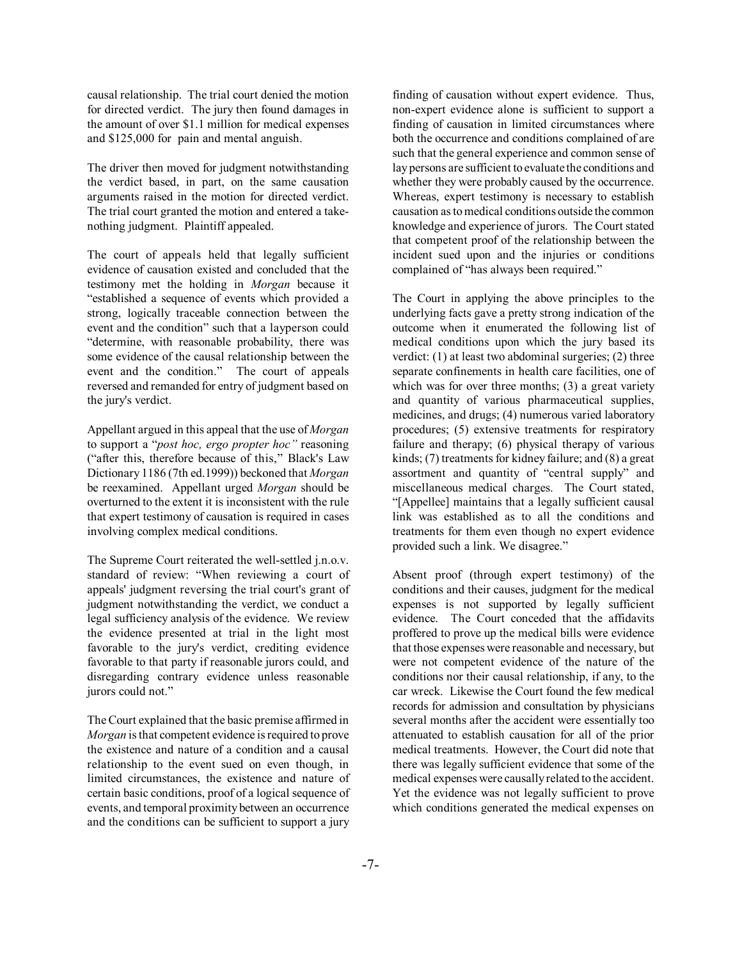causal relationship. The trial court denied the motion for directed verdict. The jury then found damages in the amount of over \$1.1 million for medical expenses and \$125,000 for pain and mental anguish.

The driver then moved for judgment notwithstanding the verdict based, in part, on the same causation arguments raised in the motion for directed verdict. The trial court granted the motion and entered a takenothing judgment. Plaintiff appealed.

The court of appeals held that legally sufficient evidence of causation existed and concluded that the testimony met the holding in *Morgan* because it ìestablished a sequence of events which provided a strong, logically traceable connection between the event and the condition" such that a layperson could "determine, with reasonable probability, there was some evidence of the causal relationship between the event and the condition." The court of appeals reversed and remanded for entry of judgment based on the jury's verdict.

Appellant argued in this appeal that the use of *Morgan* to support a "*post hoc, ergo propter hoc*" reasoning ("after this, therefore because of this," Black's Law Dictionary 1186 (7th ed.1999)) beckoned that *Morgan* be reexamined. Appellant urged *Morgan* should be overturned to the extent it is inconsistent with the rule that expert testimony of causation is required in cases involving complex medical conditions.

The Supreme Court reiterated the well-settled j.n.o.v. standard of review: "When reviewing a court of appeals' judgment reversing the trial court's grant of judgment notwithstanding the verdict, we conduct a legal sufficiency analysis of the evidence. We review the evidence presented at trial in the light most favorable to the jury's verdict, crediting evidence favorable to that party if reasonable jurors could, and disregarding contrary evidence unless reasonable jurors could not."

The Court explained that the basic premise affirmed in *Morgan* is that competent evidence is required to prove the existence and nature of a condition and a causal relationship to the event sued on even though, in limited circumstances, the existence and nature of certain basic conditions, proof of a logical sequence of events, and temporal proximity between an occurrence and the conditions can be sufficient to support a jury

finding of causation without expert evidence. Thus, non-expert evidence alone is sufficient to support a finding of causation in limited circumstances where both the occurrence and conditions complained of are such that the general experience and common sense of lay persons are sufficient to evaluate the conditions and whether they were probably caused by the occurrence. Whereas, expert testimony is necessary to establish causation as to medical conditions outside the common knowledge and experience of jurors. The Court stated that competent proof of the relationship between the incident sued upon and the injuries or conditions complained of "has always been required."

The Court in applying the above principles to the underlying facts gave a pretty strong indication of the outcome when it enumerated the following list of medical conditions upon which the jury based its verdict: (1) at least two abdominal surgeries; (2) three separate confinements in health care facilities, one of which was for over three months; (3) a great variety and quantity of various pharmaceutical supplies, medicines, and drugs; (4) numerous varied laboratory procedures; (5) extensive treatments for respiratory failure and therapy; (6) physical therapy of various kinds; (7) treatments for kidney failure; and (8) a great assortment and quantity of "central supply" and miscellaneous medical charges. The Court stated, ì[Appellee] maintains that a legally sufficient causal link was established as to all the conditions and treatments for them even though no expert evidence provided such a link. We disagree."

Absent proof (through expert testimony) of the conditions and their causes, judgment for the medical expenses is not supported by legally sufficient evidence. The Court conceded that the affidavits proffered to prove up the medical bills were evidence that those expenses were reasonable and necessary, but were not competent evidence of the nature of the conditions nor their causal relationship, if any, to the car wreck. Likewise the Court found the few medical records for admission and consultation by physicians several months after the accident were essentially too attenuated to establish causation for all of the prior medical treatments. However, the Court did note that there was legally sufficient evidence that some of the medical expenses were causally related to the accident. Yet the evidence was not legally sufficient to prove which conditions generated the medical expenses on